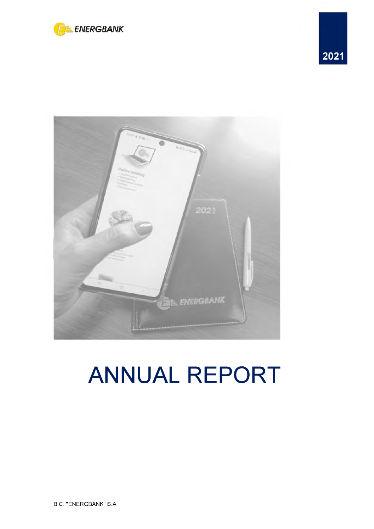





# **ANNUAL REPORT**

B.C. "ENERGBANK" S.A.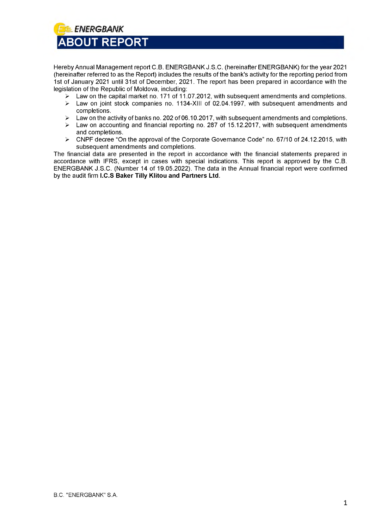<span id="page-1-0"></span>

Hereby Annual Management report C.B. ENERGBANK J.S.C. (hereinafter ENERGBANK) for the year 2021 (hereinafter referred to as the Report) includes the results of the bank's activity for the reporting period from 1st of January 2021 until 31st of December, 2021. The report has been prepared in accordance with the legislation of the Republic of Moldova, including:

- $\geq$  Law on the capital market no. 171 of 11.07.2012, with subsequent amendments and completions.<br>  $\geq$  Law on joint stock companies no. 1134-XIII of 02.04.1997. with subsequent amendments and
- Law on joint stock companies no. 1134-XIII of 02.04.1997, with subsequent amendments and completions.
- > Law on the activity of banks no. 202 of 06.10.2017, with subsequent amendments and completions.
- $\triangleright$  Law on accounting and financial reporting no. 287 of 15.12.2017, with subsequent amendments and completions.
- $\triangleright$  CNPF decree "On the approval of the Corporate Governance Code" no. 67/10 of 24.12.2015, with subsequent amendments and completions.

The financial data are presented in the report in accordance with the financial statements prepared in accordance with IFRS, except in cases with special indications. This report is approved by the C.B. ENERGBANK J.S.C. (Number 14 of 19.05.2022). The data in the Annual financial report were confirmed by the audit firm **I.C.S Baker Tilly Klitou and Partners Ltd**.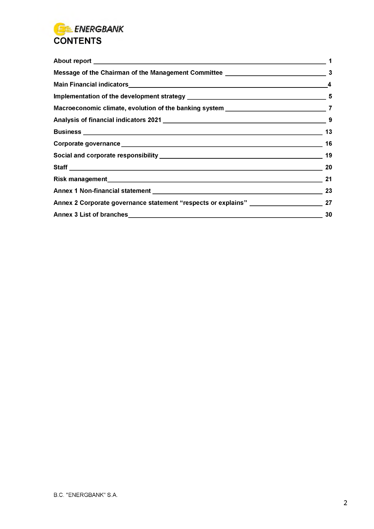

| Message of the Chairman of the Management Committee ____________________________            | 3                       |
|---------------------------------------------------------------------------------------------|-------------------------|
|                                                                                             | $\overline{\mathbf{4}}$ |
|                                                                                             |                         |
|                                                                                             |                         |
|                                                                                             |                         |
|                                                                                             | 13                      |
|                                                                                             | 16                      |
|                                                                                             | 19                      |
|                                                                                             |                         |
|                                                                                             | 21                      |
|                                                                                             | 23                      |
| Annex 2 Corporate governance statement "respects or explains" __________________________ 27 |                         |
|                                                                                             | 30                      |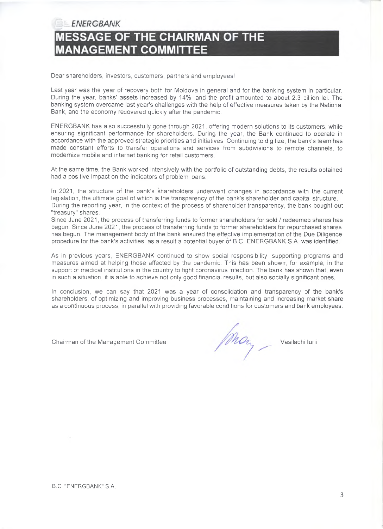*ENERGBANK*

### **MESSAGE OF THE CHAIRMAN OF THE MANAGEMENT COMMITTEE**

Dear shareholders, investors, customers, partners and employees!

Last year was the year of recovery both for Moldova in general and for the banking system in particular. During the year, banks' assets increased by 14%, and the profit amounted to about 2.3 billion lei. The banking system overcame last year's challenges with the help of effective measures taken by the National Bank, and the economy recovered quickly after the pandemic.

ENERGBANK has also successfully gone through 2021, offering modern solutions to its customers, while ensuring significant performance for shareholders. During the year, the Bank continued to operate in accordance with the approved strategic priorities and initiatives. Continuing to digitize, the bank's team has made constant efforts to transfer operations and services from subdivisions to remote channels, to modernize mobile and internet banking for retail customers.

At the same time, the Bank worked intensively with the portfolio of outstanding debts, the results obtained had a positive impact on the indicators of problem loans.

In 2021, the structure of the bank's shareholders underwent changes in accordance with the current legislation, the ultimate goal of which is the transparency of the bank's shareholder and capital structure. During the reporting year, in the context of the process of shareholder transparency, the bank bought out "treasury" shares.

Since June 2021, the process of transferring funds to former shareholders for sold / redeemed shares has begun. Since June 2021, the process of transferring funds to former shareholders for repurchased shares has begun. The management body of the bank ensured the effective implementation of the Due Diligence procedure for the bank's activities, as a result a potential buyer of B.C. ENERGBANK S.A. was identified.

As in previous years, ENERGBANK continued to show social responsibility, supporting programs and measures aimed at helping those affected by the pandemic. This has been shown, for example, in the support of medical institutions in the country to fight coronavirus infection. The bank has shown that, even in such a situation, it is able to achieve not only good financial results, but also socially significant ones.

In conclusion, we can say that 2021 was a year of consolidation and transparency of the bank's shareholders, of optimizing and improving business processes, maintaining and increasing market share as a continuous process, in parallel with providing favorable conditions for customers and bank employees.

Chairman of the Management Committee Vasilachi lurii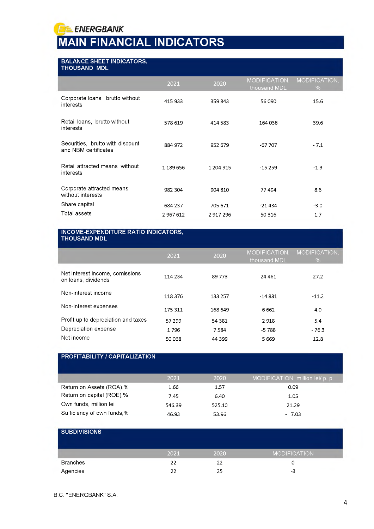**FE ENERGBANK** 

## <span id="page-4-0"></span>**MAIN FINANCIAL INDICATORS**

### **BALANCE SHEET INDICATORS,**

| <b>THOUSAND MDL</b>                                      |           |           |                               |                    |
|----------------------------------------------------------|-----------|-----------|-------------------------------|--------------------|
|                                                          | 2021      | 2020      | MODIFICATION,<br>thousand MDL | MODIFICATION,<br>% |
| Corporate Ioans, brutto without<br>interests             | 415 933   | 359843    | 56 090                        | 15.6               |
| Retail loans, brutto without<br>interests                | 578 619   | 414 583   | 164036                        | 39.6               |
| Securities, brutto with discount<br>and NBM certificates | 884 972   | 952 679   | $-67707$                      | $-7.1$             |
| Retail attracted means without<br>interests              | 1 189 656 | 1 204 915 | $-15259$                      | $-1.3$             |
| Corporate attracted means<br>without interests           | 982 304   | 904 810   | 77494                         | 8.6                |
| Share capital                                            | 684 237   | 705 671   | -21 434                       | $-3.0$             |
| Total assets                                             | 2 967 612 | 2917296   | 50 316                        | 1.7                |

#### **INCOME-EXPENDITURE RATIO INDICATORS, THOUSAND MDL**

| <b>ITIVUUAND MDL</b>                                   |         |         |                               |                    |
|--------------------------------------------------------|---------|---------|-------------------------------|--------------------|
|                                                        | 2021    | 2020    | MODIFICATION,<br>thousand MDL | MODIFICATION,<br>% |
| Net interest income, comissions<br>on loans, dividends | 114 234 | 89 773  | 24 4 61                       | 27.2               |
| Non-interest income                                    | 118 376 | 133 257 | $-14881$                      | $-11.2$            |
| Non-interest expenses                                  | 175 311 | 168 649 | 6662                          | 4.0                |
| Profit up to depreciation and taxes                    | 57 299  | 54 381  | 2918                          | 5.4                |
| Depreciation expense                                   | 1796    | 7584    | -5788                         | $-76.3$            |
| Net income                                             | 50068   | 44 399  | 5669                          | 12.8               |

### **PROFITABILITY / CAPITALIZATION**

|                            | 2021   | 2020   | MODIFICATION, million lei/ p. p., |
|----------------------------|--------|--------|-----------------------------------|
| Return on Assets (ROA),%   | 1.66   | 1.57   | 0.09                              |
| Return on capital (ROE),%  | 7.45   | 6.40   | 1.05                              |
| Own funds, million lei     | 546.39 | 525.10 | 21.29                             |
| Sufficiency of own funds,% | 46.93  | 53.96  | $-7.03$                           |

| <b>SUBDIVISIONS</b> |      |      |                     |
|---------------------|------|------|---------------------|
|                     | 2021 | 2020 | <b>MODIFICATION</b> |
| <b>Branches</b>     | 22   | 22   |                     |
| Agencies            | 22   | 25   | -3                  |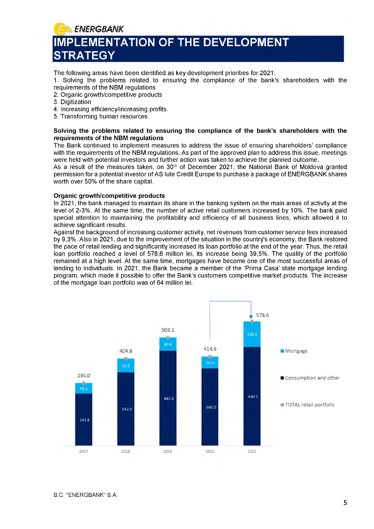f *ENERGBANK* **IMPLEMENTATION OF THE DEVELOPMENT RATEGY** 

The following areas have been identified as key development priorities for 2021:

1. Solving the problems related to ensuring the compliance of the bank's shareholders with the requirements of the NBM regulations

2. Organic growth/competitive products

- 3. Digitization
- 4. Increasing efficiency/increasing profits
- 5. Transforming human resources

#### **Solving the problems related to ensuring the compliance of the bank's shareholders with the requirements of the NBM regulations**

The Bank continued to implement measures to address the issue of ensuring shareholders' compliance with the requirements of the NBM regulations. As part of the approved plan to address this issue, meetings were held with potential investors and further action was taken to achieve the planned outcome.

As a result of the measures taken, on  $30<sup>th</sup>$  of December 2021, the National Bank of Moldova granted permission for a potential investor of AS Iute Credit Europe to purchase a package of ENERGBANK shares worth over 50% of the share capital.

#### **Organic growth/competitive products**

In 2021, the bank managed to maintain its share in the banking system on the main areas of activity at the level of 2-3%. At the same time, the number of active retail customers increased by 10%. The bank paid special attention to maintaining the profitability and efficiency of all business lines, which allowed it to achieve significant results.

Against the background of increasing customer activity, net revenues from customer service fees increased by 9,3%. Also in 2021, due to the improvement of the situation in the country's economy, the Bank restored the pace of retail lending and significantly increased its loan portfolio at the end of the year. Thus, the retail loan portfolio reached a level of 578,6 million lei, its increase being 39,5%. The quality of the portfolio remained at a high level. At the same time, mortgages have become one of the most successful areas of lending to individuals. In 2021, the Bank became a member of the 'Prima Casa' state mortgage lending program, which made it possible to offer the Bank's customers competitive market products. The increase of the mortgage loan portfolio was of 64 million lei.

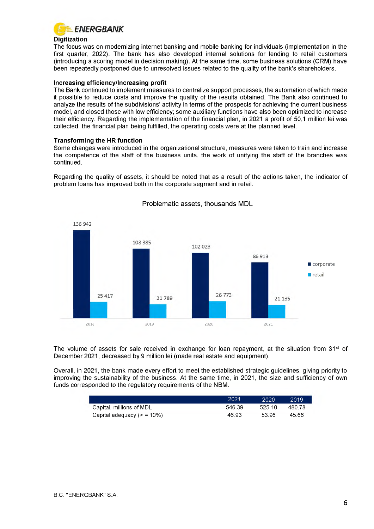

### **Digitization**

The focus was on modernizing internet banking and mobile banking for individuals (implementation in the first quarter, 2022). The bank has also developed internal solutions for lending to retail customers (introducing a scoring model in decision making). At the same time, some business solutions (CRM) have been repeatedly postponed due to unresolved issues related to the quality of the bank's shareholders.

### **Increasing efficiency/Increasing profit**

The Bank continued to implement measures to centralize support processes, the automation of which made it possible to reduce costs and improve the quality of the results obtained. The Bank also continued to analyze the results of the subdivisions' activity in terms of the prospects for achieving the current business model, and closed those with low efficiency; some auxiliary functions have also been optimized to increase their efficiency. Regarding the implementation of the financial plan, in 2021 a profit of 50,1 million lei was collected, the financial plan being fulfilled, the operating costs were at the planned level.

### **Transforming the HR function**

Some changes were introduced in the organizational structure, measures were taken to train and increase the competence of the staff of the business units, the work of unifying the staff of the branches was continued.

Regarding the quality of assets, it should be noted that as a result of the actions taken, the indicator of problem loans has improved both in the corporate segment and in retail.



Problematic assets, thousands MDL

The volume of assets for sale received in exchange for loan repayment, at the situation from 31 $\mathrm{st}$  of December 2021, decreased by 9 million lei (made real estate and equipment).

Overall, in 2021, the bank made every effort to meet the established strategic guidelines, giving priority to improving the sustainability of the business. At the same time, in 2021, the size and sufficiency of own funds corresponded to the regulatory requirements of the NBM.

|                              | 2021   | 2020   | 2019   |
|------------------------------|--------|--------|--------|
| Capital, millions of MDL     | 546.39 | 525.10 | 480.78 |
| Capital adequacy $(> 510\%)$ | 46.93  | 53.96  | 45.66  |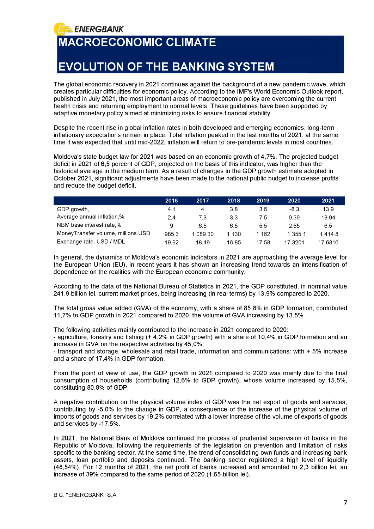**MACROECONOMIC CLIMATE**

**ELENERGBANK** 

### **EVOLUTION OF THE BANKING SYSTEM**

The global economic recovery in 2021 continues against the background of a new pandemic wave, which creates particular difficulties for economic policy. According to the IMF's World Economic Outlook report, published in July 2021, the most important areas of macroeconomic policy are overcoming the current health crisis and returning employment to normal levels. These guidelines have been supported by adaptive monetary policy aimed at minimizing risks to ensure financial stability.

Despite the recent rise in global inflation rates in both developed and emerging economies, long-term inflationary expectations remain in place. Total inflation peaked in the last months of 2021, at the same time it was expected that until mid-2022, inflation will return to pre-pandemic levels in most countries.

Moldova's state budget law for 2021 was based on an economic growth of 4,7%. The projected budget deficit in 2021 of 6,5 percent of GDP, projected on the basis of this indicator, was higher than the historical average in the medium term. As a result of changes in the GDP growth estimate adopted in October 2021, significant adjustments have been made to the national public budget to increase profits and reduce the budget deficit.

|                                     | 2016  | 2017     | 2018    | 2019    | 2020    | 2021    |
|-------------------------------------|-------|----------|---------|---------|---------|---------|
| GDP growth,                         | 4.1   | 4        | 3.8     | 36      | -8.3    | 13.9    |
| Average annual inflation,%          | 2.4   | 7.3      | 3.3     | 75      | 0 39    | 13.94   |
| NBM base interest rate %            | 9     | 6.5      | 65      | 55      | 265     | 6.5     |
| Money Transfer volume, millions USD | 985.3 | 1 089.30 | 1 1 3 0 | 1 1 6 2 | 1 355.1 | 14148   |
| Exchange rate, USD / MDL            | 19.92 | 18 49    | 16.85   | 17.58   | 17 3201 | 17.6816 |

In general, the dynamics of Moldova's economic indicators in 2021 are approaching the average level for the European Union (EU), in recent years it has shown an increasing trend towards an intensification of dependence on the realities with the European economic community.

According to the data of the National Bureau of Statistics in 2021, the GDP constituted, in nominal value 241,9 billion lei, current market prices, being increasing (in real terms) by 13,9% compared to 2020.

The total gross value added (GVA) of the economy, with a share of 85,8% in GDP formation, contributed 11,7% to GDP growth in 2021 compared to 2020, the volume of GVA increasing by 13,5% .

The following activities mainly contributed to the increase in 2021 compared to 2020:

- agriculture, forestry and fishing (+ 4,2% in GDP growth) with a share of 10,4% in GDP formation and an increase in GVA on the respective activities by 45,0%;

- transport and storage, wholesale and retail trade, information and communications: with + 5% increase and a share of 17,4% in GDP formation.

From the point of view of use, the GDP growth in 2021 compared to 2020 was mainly due to the final consumption of households (contributing 12,6% to GDP growth), whose volume increased by 15,5%, constituting 80,8% of GDP.

A negative contribution on the physical volume index of GDP was the net export of goods and services, contributing by -5,0% to the change in GDP, a consequence of the increase of the physical volume of imports of goods and services by 19,2% correlated with a lower increase of the volume of exports of goods and services by -17,5%.

In 2021, the National Bank of Moldova continued the process of prudential supervision of banks in the Republic of Moldova, following the requirements of the legislation on prevention and limitation of risks specific to the banking sector. At the same time, the trend of consolidating own funds and increasing bank assets, loan portfolio and deposits continued. The banking sector registered a high level of liquidity (48,54%). For 12 months of 2021, the net profit of banks increased and amounted to 2,3 billion lei, an increase of 39% compared to the same period of 2020 (1,65 billion lei).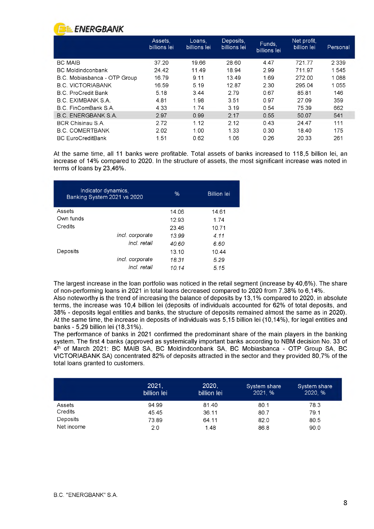

|                              | Assets,<br>billions lei | Loans,<br><u>billions lei</u> | Deposits,<br>billions lei | Funds,<br>billions lei | Net profit.<br>billion lei | Personal |
|------------------------------|-------------------------|-------------------------------|---------------------------|------------------------|----------------------------|----------|
| <b>BC MAIB</b>               | 37.20                   | 19.66                         | 28.60                     | 4.47                   | 721 77                     | 2 3 3 9  |
| <b>BC</b> Moldindconbank     | 24.42                   | 11.49                         | 18.94                     | 2.99                   | 711 97                     | 1545     |
| B.C. Mobiasbanca - OTP Group | 16.79                   | 9.11                          | 13.49                     | 1.69                   | 272.00                     | 1088     |
| <b>B.C. VICTORIABANK</b>     | 16.59                   | 5.19                          | 12.87                     | 2.30                   | 295.04                     | 1055     |
| <b>B.C. ProCredit Bank</b>   | 5.18                    | 344                           | 279                       | 067                    | 8581                       | 146      |
| B.C. EXIMBANK S.A.           | 4.81                    | 1.98                          | 351                       | 097                    | 2709                       | 359      |
| B.C. FinComBank S.A.         | 4.33                    | 1.74                          | 3.19                      | 0.54                   | 75.39                      | 662      |
| B.C. ENERGBANK S.A.          | 2.97                    | 0.99                          | 2.17                      | 0.55                   | 50.07                      | 541      |
| <b>BCR Chisinau S A</b>      | 2.72                    | 1.12                          | 2.12                      | 0.43                   | 24 47                      | 111      |
| <b>B.C. COMERTBANK</b>       | 202                     | 1.00                          | 1.33                      | 0.30                   | 18.40                      | 175      |
| <b>BC EuroCreditBank</b>     | 1.51                    | 0.62                          | 1.06                      | 0.26                   | 20 33                      | 261      |

At the same time, all 11 banks were profitable. Total assets of banks increased to 118,5 billion lei, an increase of 14% compared to 2020. In the structure of assets, the most significant increase was noted in terms of loans by 23,46%.

| Indicator dynamics,<br>Banking System 2021 vs 2020 |                 | $\%$  | <b>Billion</b> lei |
|----------------------------------------------------|-----------------|-------|--------------------|
| Assets                                             |                 | 14.06 | 14.61              |
| Own funds                                          |                 | 12.93 | 1 74               |
| Credits                                            |                 | 2346  | 10.71              |
|                                                    | incl. corporate | 13.99 | 4.11               |
|                                                    | incl. retail    | 40.60 | 6.60               |
| Deposits                                           |                 | 13.10 | 10.44              |
|                                                    | incl. corporate | 18.31 | 5.29               |
|                                                    | incl. retail    | 10.14 | 5.15               |

The largest increase in the loan portfolio was noticed in the retail segment (increase by 40,6%). The share of non-performing loans in 2021 in total loans decreased compared to 2020 from 7,38% to 6,14%.

Also noteworthy is the trend of increasing the balance of deposits by 13,1% compared to 2020, in absolute terms, the increase was 10,4 billion lei (deposits of individuals accounted for 62% of total deposits, and 38% - deposits legal entities and banks, the structure of deposits remained almost the same as in 2020). At the same time, the increase in deposits of individuals was 5,15 billion lei (10,14%), for legal entities and banks - 5,29 billion lei (18,31%).

The performance of banks in 2021 confirmed the predominant share of the main players in the banking system. The first 4 banks (approved as systemically important banks according to NBM decision No. 33 of 4<sup>th</sup> of March 2021: BC MAIB SA, BC Moldindconbank SA, BC Mobiasbanca - OTP Group SA, BC VICTORIABANK SA) concentrated 82% of deposits attracted in the sector and they provided 80,7% of the total loans granted to customers.

|            | 2021,<br>billion lei | 2020,<br>billion lei | System share<br>2021, % | System share<br>2020, % |
|------------|----------------------|----------------------|-------------------------|-------------------------|
| Assets     | 94.99                | 81.40                | 80.1                    | 78.3                    |
| Credits    | 45.45                | 36.11                | 80.7                    | 79.1                    |
| Deposits   | 73.89                | 64.11                | 82.0                    | 80.5                    |
| Net income | 2.0                  | 1.48                 | 86.8                    | 90.0                    |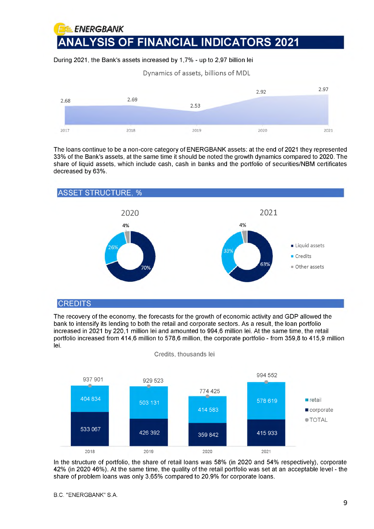f *ENERGBANK* **ANALYSIS OF FINANCIAL INDICATORS 2021**

During 2021, the Bank's assets increased by 1,7% - up to 2,97 billion lei

Dynamics of assets, billions of MDL



The loans continue to be a non-core category of ENERGBANK assets: at the end of 2021 they represented 33% of the Bank's assets, at the same time it should be noted the growth dynamics compared to 2020. The share of liquid assets, which include cash, cash in banks and the portfolio of securities/NBM certificates decreased by 63%.



### **CREDITS**

The recovery of the economy, the forecasts for the growth of economic activity and GDP allowed the bank to intensify its lending to both the retail and corporate sectors. As a result, the loan portfolio increased in 2021 by 220,1 million lei and amounted to 994,6 million lei. At the same time, the retail portfolio increased from 414,6 million to 578,6 million, the corporate portfolio - from 359,8 to 415,9 million lei.



In the structure of portfolio, the share of retail loans was 58% (in 2020 and 54% respectively), corporate 42% (in 2020 46%). At the same time, the quality of the retail portfolio was set at an acceptable level - the share of problem loans was only 3,65% compared to 20,9% for corporate loans.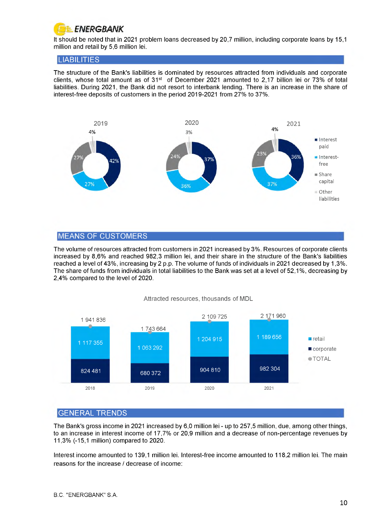

It should be noted that in 2021 problem loans decreased by 20,7 million, including corporate loans by 15,1 million and retail by 5,6 million lei.

### LIABILITIES

The structure of the Bank's liabilities is dominated by resources attracted from individuals and corporate clients, whose total amount as of  $31<sup>st</sup>$  of December 2021 amounted to 2,17 billion lei or 73% of total liabilities. During 2021, the Bank did not resort to interbank lending. There is an increase in the share of interest-free deposits of customers in the period 2019-2021 from 27% to 37%.



### MEANS OF CUSTOMERS

The volume of resources attracted from customers in 2021 increased by 3%. Resources of corporate clients increased by 8,6% and reached 982,3 million lei, and their share in the structure of the Bank's liabilities reached a level of 43%, increasing by 2 p.p. The volume of funds of individuals in 2021 decreased by 1,3%. The share of funds from individuals in total liabilities to the Bank was set at a level of 52,1%, decreasing by 2,4% compared to the level of 2020.

Attracted resources, thousands of MDL



### GENERAL TRENDS

The Bank's gross income in 2021 increased by 6,0 million lei - up to 257,5 million, due, among other things, to an increase in interest income of 17,7% or 20,9 million and a decrease of non-percentage revenues by 11,3% (-15,1 million) compared to 2020.

Interest income amounted to 139,1 million lei. Interest-free income amounted to 118,2 million lei. The main reasons for the increase / decrease of income: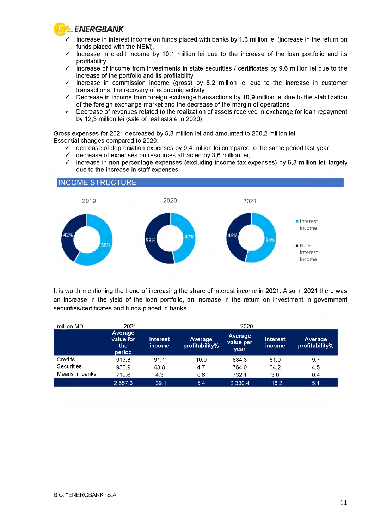

### ■ *3k. ENERGBANK*

- *S* Increase in interest income on funds placed with banks by 1,3 million lei (increase in the return on funds placed with the NBM).
- Increase in credit income by 10,1 million lei due to the increase of the loan portfolio and its profitability
- $\checkmark$  Increase of income from investments in state securities / certificates by 9,6 million lei due to the increase of the portfolio and its profitability
- $\checkmark$  Increase in commission income (gross) by 8.2 million lei due to the increase in customer transactions, the recovery of economic activity
- $\checkmark$  Decrease in income from foreign exchange transactions by 10.9 million lei due to the stabilization of the foreign exchange market and the decrease of the margin of operations
- $\checkmark$  Decrease of revenues related to the realization of assets received in exchange for loan repayment by 12,3 million lei (sale of real estate in 2020)

Gross expenses for 2021 decreased by 5,8 million lei and amounted to 200,2 million lei. Essential changes compared to 2020:

- $\checkmark$  decrease of depreciation expenses by 9,4 million lei compared to the same period last year,
- decrease of expenses on resources attracted by 3,6 million lei,
- $\checkmark$  increase in non-percentage expenses (excluding income tax expenses) by 6,8 million lei, largely due to the increase in staff expenses.

### INCOME STRUCTURE



It is worth mentioning the trend of increasing the share of interest income in 2021. Also in 2021 there was an increase in the yield of the loan portfolio, an increase in the return on investment in government securities/certificates and funds placed in banks.

| million MDL    | 2021                                  |                           |                           | 2020                         |                           |                           |
|----------------|---------------------------------------|---------------------------|---------------------------|------------------------------|---------------------------|---------------------------|
|                | Average<br>value for<br>the<br>period | <b>Interest</b><br>income | Average<br>profitability% | Average<br>value per<br>year | <b>Interest</b><br>income | Average<br>profitability% |
| Credits        | 913.8                                 | 91.1                      | 10.0                      | 834.3                        | 81.0                      | 9.7                       |
| Securities     | 930.9                                 | 43.8                      | 4.7                       | 764.0                        | 34.2                      | 4.5                       |
| Means in banks | 712.6                                 | 4.3                       | 0.6                       | 732.1                        | 3.0                       | 0.4                       |
|                | 2 5 5 7 . 3                           | 139.1                     | 5.4                       | 2 3 3 0.4                    | 118.2                     | 15.1                      |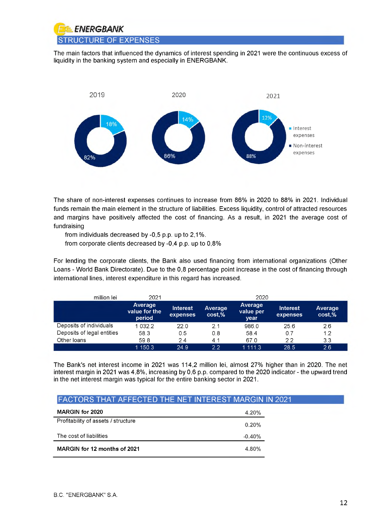

The main factors that influenced the dynamics of interest spending in 2021 were the continuous excess of liquidity in the banking system and especially in ENERGBANK.



The share of non-interest expenses continues to increase from 86% in 2020 to 88% in 2021. Individual funds remain the main element in the structure of liabilities. Excess liquidity, control of attracted resources and margins have positively affected the cost of financing. As a result, in 2021 the average cost of fundraising

from individuals decreased by -0,5 p.p. up to 2,1%.

from corporate clients decreased by -0,4 p.p. up to 0,8%

For lending the corporate clients, the Bank also used financing from international organizations (Other Loans - World Bank Directorate). Due to the 0,8 percentage point increase in the cost of financing through international lines, interest expenditure in this regard has increased.

| million lei                | 2021                               | 2020                        |                   |                              |                             |                   |
|----------------------------|------------------------------------|-----------------------------|-------------------|------------------------------|-----------------------------|-------------------|
|                            | Average<br>value for the<br>period | <b>Interest</b><br>expenses | Average<br>cost,% | Average<br>value per<br>year | <b>Interest</b><br>expenses | Average<br>cost.% |
| Deposits of individuals    | 1 0 3 2 2                          | 220                         | 2 <sub>1</sub>    | 986.0                        | 25.6                        | 2.6               |
| Deposits of legal entities | 58.3                               | 0.5                         | 0.8               | 58.4                         | 0.7                         | 1.2               |
| Other loans                | 59.8                               | 2.4                         | 4.1               | 67.0                         | 2.2                         | 3.3               |
|                            | 1 150.3                            | 24.9                        | フフ                | 1 1 1 1 3                    | 28.5                        | 2.6               |

The Bank's net interest income in 2021 was 114,2 million lei, almost 27% higher than in 2020. The net interest margin in 2021 was 4,8%, increasing by 0,6 p.p. compared to the 2020 indicator - the upward trend in the net interest margin was typical for the entire banking sector in 2021.

### FACTORS THAT AFFECTED THE NET INTEREST MARGIN IN 2021

| <b>MARGIN for 2020</b>              | 4.20%    |
|-------------------------------------|----------|
| Profitability of assets / structure | 0.20%    |
| The cost of liabilities             | $-0.40%$ |
| MARGIN for 12 months of 2021        | 4.80%    |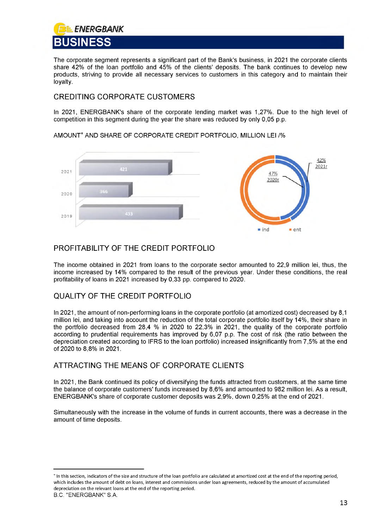<span id="page-13-0"></span>

The corporate segment represents a significant part of the Bank's business, in 2021 the corporate clients share 42% of the loan portfolio and 45% of the clients' deposits. The bank continues to develop new products, striving to provide all necessary services to customers in this category and to maintain their loyalty.

### CREDITING CORPORATE CUSTOMERS

In 2021, ENERGBANK's share of the corporate lending market was 1,27%. Due to the high level of competition in this segment during the year the share was reduced by only 0,05 p.p.



AMOUNT\* AND SHARE OF CORPORATE CREDIT PORTFOLIO, MILLION LEI /%

### PROFITABILITY OF THE CREDIT PORTFOLIO

The income obtained in 2021 from loans to the corporate sector amounted to 22,9 million lei, thus, the income increased by 14% compared to the result of the previous year. Under these conditions, the real profitability of loans in 2021 increased by 0,33 pp. compared to 2020.

### QUALITY OF THE CREDIT PORTFOLIO

In 2021, the amount of non-performing loans in the corporate portfolio (at amortized cost) decreased by 8,1 million lei, and taking into account the reduction of the total corporate portfolio itself by 14%, their share in the portfolio decreased from 28,4 % in 2020 to 22,3% in 2021, the quality of the corporate portfolio according to prudential requirements has improved by 6,07 p.p. The cost of risk (the ratio between the depreciation created according to IFRS to the loan portfolio) increased insignificantly from 7,5% at the end of 2020 to 8,8% in 2021.

### ATTRACTING THE MEANS OF CORPORATE CLIENTS

In 2021, the Bank continued its policy of diversifying the funds attracted from customers, at the same time the balance of corporate customers' funds increased by 8,6% and amounted to 982 million lei. As a result, ENERGBANK's share of corporate customer deposits was 2,9%, down 0,25% at the end of 2021.

Simultaneously with the increase in the volume of funds in current accounts, there was a decrease in the amount of time deposits.

<sup>\*</sup> In this section, indicators of the size and structure of the loan portfolio are calculated at amortized cost at the end of the reporting period, which includes the amount of debt on loans, interest and commissions under loan agreements, reduced by the amount of accumulated depreciation on the relevant loans at the end of the reporting period.

B.C. "ENERGBANK" S.A.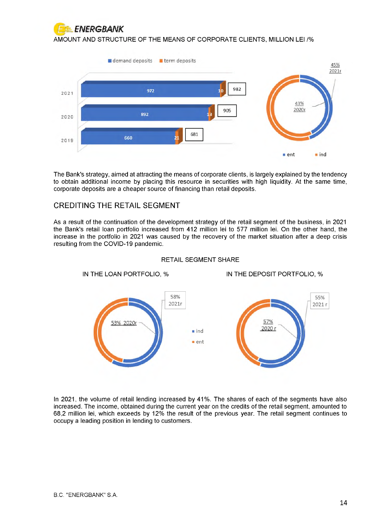

AMOUNT AND STRUCTURE OF THE MEANS OF CORPORATE CLIENTS, MILLION LEI /%



The Bank's strategy, aimed at attracting the means of corporate clients, is largely explained by the tendency to obtain additional income by placing this resource in securities with high liquidity. At the same time, corporate deposits are a cheaper source of financing than retail deposits.

### CREDITING THE RETAIL SEGMENT

As a result of the continuation of the development strategy of the retail segment of the business, in 2021 the Bank's retail loan portfolio increased from 412 million lei to 577 million lei. On the other hand, the increase in the portfolio in 2021 was caused by the recovery of the market situation after a deep crisis resulting from the COVID-19 pandemic.



### RETAIL SEGMENT SHARE

In 2021, the volume of retail lending increased by 41%. The shares of each of the segments have also increased. The income, obtained during the current year on the credits of the retail segment, amounted to 68,2 million lei, which exceeds by 12% the result of the previous year. The retail segment continues to occupy a leading position in lending to customers.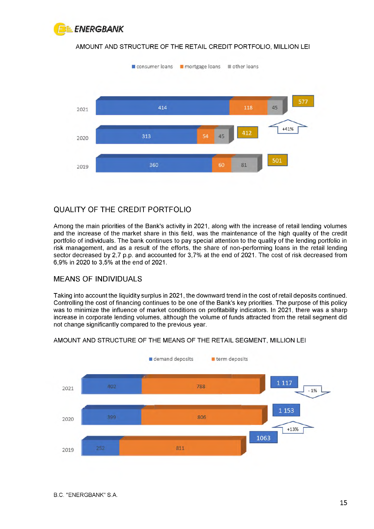

### AMOUNT AND STRUCTURE OF THE RETAIL CREDIT PORTFOLIO, MILLION LEI



### QUALITY OF THE CREDIT PORTFOLIO

Among the main priorities of the Bank's activity in 2021, along with the increase of retail lending volumes and the increase of the market share in this field, was the maintenance of the high quality of the credit portfolio of individuals. The bank continues to pay special attention to the quality of the lending portfolio in risk management, and as a result of the efforts, the share of non-performing loans in the retail lending sector decreased by 2,7 p.p. and accounted for 3,7% at the end of 2021. The cost of risk decreased from 6,9% in 2020 to 3,5% at the end of 2021.

### MEANS OF INDIVIDUALS

Taking into account the liquidity surplus in 2021, the downward trend in the cost of retail deposits continued. Controlling the cost of financing continues to be one of the Bank's key priorities. The purpose of this policy was to minimize the influence of market conditions on profitability indicators. In 2021, there was a sharp increase in corporate lending volumes, although the volume of funds attracted from the retail segment did not change significantly compared to the previous year.



### AMOUNT AND STRUCTURE OF THE MEANS OF THE RETAIL SEGMENT, MILLION LEI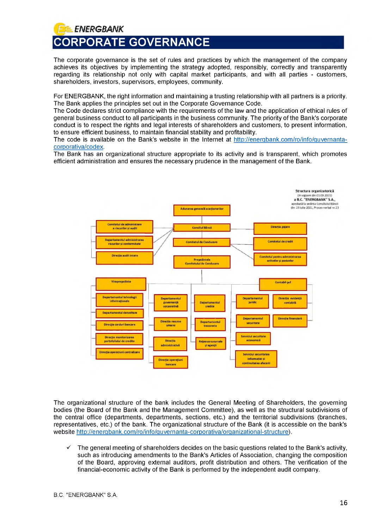### <span id="page-16-0"></span>**FELENERGBANK CORPORATE GOVERNANCE**

The corporate governance is the set of rules and practices by which the management of the company achieves its objectives by implementing the strategy adopted, responsibly, correctly and transparently regarding its relationship not only with capital market participants, and with all parties - customers, shareholders, investors, supervisors, employees, community.

For ENERGBANK, the right information and maintaining a trusting relationship with all partners is a priority. The Bank applies the principles set out in the Corporate Governance Code.

The Code declares strict compliance with the requirements of the law and the application of ethical rules of general business conduct to all participants in the business community. The priority of the Bank's corporate conduct is to respect the rights and legal interests of shareholders and customers, to present information, to ensure efficient business, to maintain financial stability and profitability.

The code is available on the Bank's website in the Internet at [http://energbank.com/ro/info/guvernanta](http://energbank.com/ro/info/guvernanta-corporativa/codex)[corporativa/codex.](http://energbank.com/ro/info/guvernanta-corporativa/codex)

The Bank has an organizational structure appropriate to its activity and is transparent, which promotes efficient administration and ensures the necessary prudence in the management of the Bank.



The organizational structure of the bank includes the General Meeting of Shareholders, the governing bodies (the Board of the Bank and the Management Committee), as well as the structural subdivisions of the central office (departments, departments, sections, etc.) and the territorial subdivisions (branches, representatives, etc.) of the bank. The organizational structure of the Bank (it is accessible on the bank's website [http://energbank.com/ro/info/guvernanta-corporativa/organizational-structure\)](http://energbank.com/ro/info/guvernanta-corporativa/organizational-structure) .

 $\checkmark$  The general meeting of shareholders decides on the basic questions related to the Bank's activity, such as introducing amendments to the Bank's Articles of Association, changing the composition of the Board, approving external auditors, profit distribution and others. The verification of the financial-economic activity of the Bank is performed by the independent audit company.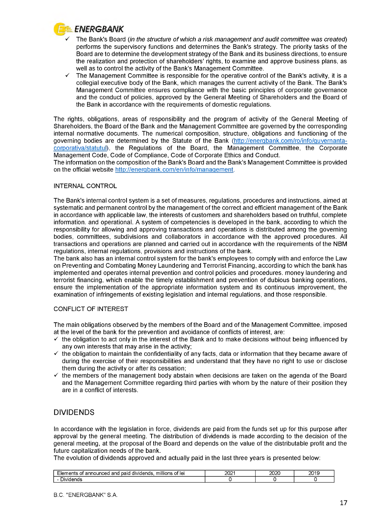

- *S* The Bank's Board *(in the structure of which a risk management and audit committee was created)* performs the supervisory functions and determines the Bank's strategy. The priority tasks of the Board are to determine the development strategy of the Bank and its business directions, to ensure the realization and protection of shareholders' rights, to examine and approve business plans, as well as to control the activity of the Bank's Management Committee.
- $\checkmark$  The Management Committee is responsible for the operative control of the Bank's activity, it is a collegial executive body of the Bank, which manages the current activity of the Bank. The Bank's Management Committee ensures compliance with the basic principles of corporate governance and the conduct of policies, approved by the General Meeting of Shareholders and the Board of the Bank in accordance with the requirements of domestic regulations.

The rights, obligations, areas of responsibility and the program of activity of the General Meeting of Shareholders, the Board of the Bank and the Management Committee are governed by the corresponding internal normative documents. The numerical composition, structure, obligations and functioning of the governing bodies are determined by the Statute of the Bank [\(http://energbank.com/ro/info/guvernanta](http://energbank.com/ro/info/guvernanta-corporativa/statutul)corporativa/statutul), the Regulations of the Board, the Management Committee, the Corporate Management Code, Code of Compliance, Code of Corporate Ethics and Conduct.

The information on the composition of the Bank's Board and the Bank's Management Committee is provided on the official website [http://energbank.com/en/info/management.](http://energbank.com/en/info/management)

### INTERNAL CONTROL

The Bank's internal control system is a set of measures, regulations, procedures and instructions, aimed at systematic and permanent control by the management of the correct and efficient management of the Bank in accordance with applicable law, the interests of customers and shareholders based on truthful, complete information. and operational. A system of competencies is developed in the bank, according to which the responsibility for allowing and approving transactions and operations is distributed among the governing bodies, committees, subdivisions and collaborators in accordance with the approved procedures. All transactions and operations are planned and carried out in accordance with the requirements of the NBM regulations, internal regulations, provisions and instructions of the bank.

The bank also has an internal control system for the bank's employees to comply with and enforce the Law on Preventing and Combating Money Laundering and Terrorist Financing, according to which the bank has implemented and operates internal prevention and control policies and procedures. money laundering and terrorist financing, which enable the timely establishment and prevention of dubious banking operations, ensure the implementation of the appropriate information system and its continuous improvement, the examination of infringements of existing legislation and internal regulations, and those responsible.

### CONFLICT OF INTEREST

The main obligations observed by the members of the Board and of the Management Committee, imposed at the level of the bank for the prevention and avoidance of conflicts of interest, are:

- the obligation to act only in the interest of the Bank and to make decisions without being influenced by any own interests that may arise in the activity;
- $\checkmark$  the obligation to maintain the confidentiality of any facts, data or information that they became aware of during the exercise of their responsibilities and understand that they have no right to use or disclose them during the activity or after its cessation;
- $\checkmark$  the members of the management body abstain when decisions are taken on the agenda of the Board and the Management Committee regarding third parties with whom by the nature of their position they are in a conflict of interests.

### DIVIDENDS

In accordance with the legislation in force, dividends are paid from the funds set up for this purpose after approval by the general meeting. The distribution of dividends is made according to the decision of the general meeting, at the proposal of the Board and depends on the value of the distributable profit and the future capitalization needs of the bank.

The evolution of dividends approved and actually paid in the last three years is presented below:

| <br>anc<br>AD 13<br>millions<br>paid<br>۱е<br>e<br>ΩТ<br>--<br>пı<br>Ш<br>4 M<br>$\cdot$<br>. | י ההר<br>−∪∠ ∗ | ~~~~ | ິ<br>–∽ |
|-----------------------------------------------------------------------------------------------|----------------|------|---------|
| ЖV                                                                                            |                |      |         |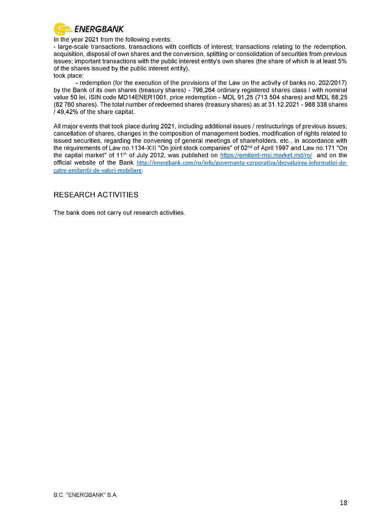

In the year 2021 from the following events:

- large-scale transactions, transactions with conflicts of interest; transactions relating to the redemption, acquisition, disposal of own shares and the conversion, splitting or consolidation of securities from previous issues; important transactions with the public interest entity's own shares (the share of which is at least 5% of the shares issued by the public interest entity), took place:

- redemption (for the execution of the provisions of the Law on the activity of banks no. 202/2017) by the Bank of its own shares (treasury shares) - 796,264 ordinary registered shares class I with nominal value 50 lei, ISIN code MD14ENER1001, price redemption - MDL 91,25 (713 504 shares) and MDL 68,25 (82 760 shares). The total number of redeemed shares (treasury shares) as at 31.12.2021 - 988 338 shares  $\overline{1}$  49,42% of the share capital.

All major events that took place during 2021, including additional issues / restructurings of previous issues; cancellation of shares, changes in the composition of management bodies, modification of rights related to issued securities, regarding the convening of general meetings of shareholders, etc., in accordance with the requirements of Law no.1134-XIII "On joint stock companies" of 02<sup>nd</sup> of April 1997 and Law no.171 "On the capital market" of 11<sup>th</sup> of July 2012, was published on<https://emitent-msi.market.md/ro/>and on the official website of the Bank [http://energbank.com/ro/info/guvernanta-corporativa/dezvaluirea-informatiei-de](http://energbank.com/ro/info/guvernanta-corporativa/dezvaluirea-informatiei-de-)catre-emitentii-de-valori-mobiliare.

### RESEARCH ACTIVITIES

The bank does not carry out research activities.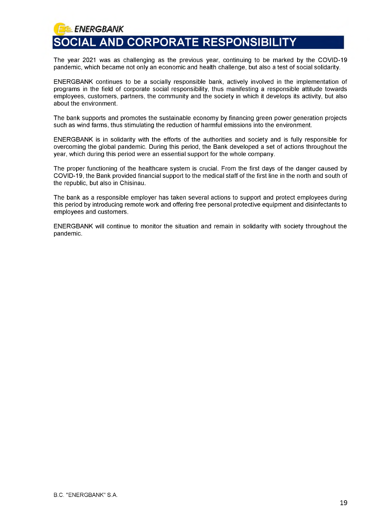<span id="page-19-0"></span>*} '==. ENERGBANK* **SOCIAL AND CORPORATE RESPONSIBILITY**

The year 2021 was as challenging as the previous year, continuing to be marked by the COVID-19 pandemic, which became not only an economic and health challenge, but also a test of social solidarity.

ENERGBANK continues to be a socially responsible bank, actively involved in the implementation of programs in the field of corporate social responsibility, thus manifesting a responsible attitude towards employees, customers, partners, the community and the society in which it develops its activity, but also about the environment.

The bank supports and promotes the sustainable economy by financing green power generation projects such as wind farms, thus stimulating the reduction of harmful emissions into the environment.

ENERGBANK is in solidarity with the efforts of the authorities and society and is fully responsible for overcoming the global pandemic. During this period, the Bank developed a set of actions throughout the year, which during this period were an essential support for the whole company.

The proper functioning of the healthcare system is crucial. From the first days of the danger caused by COVID-19, the Bank provided financial support to the medical staff of the first line in the north and south of the republic, but also in Chisinau.

The bank as a responsible employer has taken several actions to support and protect employees during this period by introducing remote work and offering free personal protective equipment and disinfectants to employees and customers.

ENERGBANK will continue to monitor the situation and remain in solidarity with society throughout the pandemic.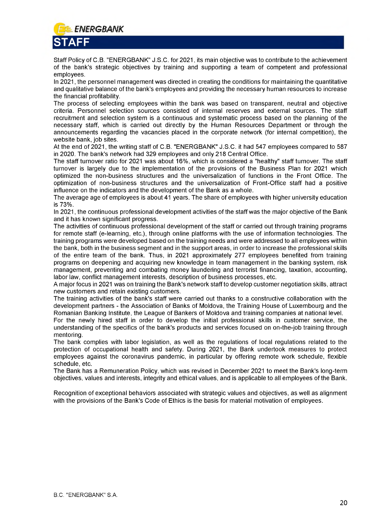<span id="page-20-0"></span>

Staff Policy of C.B. "ENERGBANK" J.S.C. for 2021, its main objective was to contribute to the achievement of the bank's strategic objectives by training and supporting a team of competent and professional employees.

In 2021, the personnel management was directed in creating the conditions for maintaining the quantitative and qualitative balance of the bank's employees and providing the necessary human resources to increase the financial profitability.

The process of selecting employees within the bank was based on transparent, neutral and objective criteria. Personnel selection sources consisted of internal reserves and external sources. The staff recruitment and selection system is a continuous and systematic process based on the planning of the necessary staff, which is carried out directly by the Human Resources Department or through the announcements regarding the vacancies placed in the corporate network (for internal competition), the website bank, job sites.

At the end of 2021, the writing staff of C.B. "ENERGBANK" J.S.C. it had 547 employees compared to 587 in 2020. The bank's network had 329 employees and only 218 Central Office.

The staff turnover ratio for 2021 was about 16%, which is considered a "healthy" staff turnover. The staff turnover is largely due to the implementation of the provisions of the Business Plan for 2021 which optimized the non-business structures and the universalization of functions in the Front Office. The optimization of non-business structures and the universalization of Front-Office staff had a positive influence on the indicators and the development of the Bank as a whole.

The average age of employees is about 41 years. The share of employees with higher university education is 73%.

In 2021, the continuous professional development activities of the staff was the major objective of the Bank and it has known significant progress.

The activities of continuous professional development of the staff or carried out through training programs for remote staff (e-learning, etc.), through online platforms with the use of information technologies. The training programs were developed based on the training needs and were addressed to all employees within the bank, both in the business segment and in the support areas, in order to increase the professional skills of the entire team of the bank. Thus, in 2021 approximately 277 employees benefited from training programs on deepening and acquiring new knowledge in team management in the banking system, risk management, preventing and combating money laundering and terrorist financing, taxation, accounting, labor law, conflict management interests, description of business processes, etc.

A major focus in 2021 was on training the Bank's network staff to develop customer negotiation skills, attract new customers and retain existing customers.

The training activities of the bank's staff were carried out thanks to a constructive collaboration with the development partners - the Association of Banks of Moldova, the Training House of Luxembourg and the Romanian Banking Institute, the League of Bankers of Moldova and training companies at national level.

For the newly hired staff in order to develop the initial professional skills in customer service, the understanding of the specifics of the bank's products and services focused on on-the-job training through mentoring.

The bank complies with labor legislation, as well as the regulations of local regulations related to the protection of occupational health and safety. During 2021, the Bank undertook measures to protect employees against the coronavirus pandemic, in particular by offering remote work schedule, flexible schedule, etc.

The Bank has a Remuneration Policy, which was revised in December 2021 to meet the Bank's long-term objectives, values and interests, integrity and ethical values, and is applicable to all employees of the Bank.

Recognition of exceptional behaviors associated with strategic values and objectives, as well as alignment with the provisions of the Bank's Code of Ethics is the basis for material motivation of employees.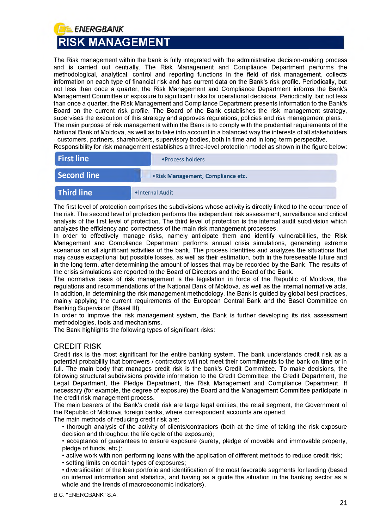### <span id="page-21-0"></span>f *ENERGBANK* **RISK MANAGEMENT**

The Risk management within the bank is fully integrated with the administrative decision-making process and is carried out centrally. The Risk Management and Compliance Department performs the methodological, analytical, control and reporting functions in the field of risk management, collects information on each type of financial risk and has current data on the Bank's risk profile. Periodically, but not less than once a quarter, the Risk Management and Compliance Department informs the Bank's Management Committee of exposure to significant risks for operational decisions. Periodically, but not less than once a quarter, the Risk Management and Compliance Department presents information to the Bank's Board on the current risk profile. The Board of the Bank establishes the risk management strategy, supervises the execution of this strategy and approves regulations, policies and risk management plans. The main purpose of risk management within the Bank is to comply with the prudential requirements of the National Bank of Moldova, as well as to take into account in a balanced way the interests of all stakeholders - customers, partners, shareholders, supervisory bodies, both in time and in long-term perspective. Responsibility for risk management establishes a three-level protection model as shown in the figure below:

«Process holders | «Risk Management, Compliance etc. •Internal Audit **Third line First line Second line** 

The first level of protection comprises the subdivisions whose activity is directly linked to the occurrence of the risk. The second level of protection performs the independent risk assessment, surveillance and critical analysis of the first level of protection. The third level of protection is the internal audit subdivision which analyzes the efficiency and correctness of the main risk management processes.

In order to effectively manage risks, namely anticipate them and identify vulnerabilities, the Risk Management and Compliance Department performs annual crisis simulations, generating extreme scenarios on all significant activities of the bank. The process identifies and analyzes the situations that may cause exceptional but possible losses, as well as their estimation, both in the foreseeable future and in the long term, after determining the amount of losses that may be recorded by the Bank. The results of the crisis simulations are reported to the Board of Directors and the Board of the Bank.

The normative basis of risk management is the legislation in force of the Republic of Moldova, the regulations and recommendations of the National Bank of Moldova, as well as the internal normative acts. In addition, in determining the risk management methodology, the Bank is guided by global best practices, mainly applying the current requirements of the European Central Bank and the Basel Committee on Banking Supervision (Basel III).

In order to improve the risk management system, the Bank is further developing its risk assessment methodologies, tools and mechanisms.

The Bank highlights the following types of significant risks:

### CREDIT RISK

Credit risk is the most significant for the entire banking system. The bank understands credit risk as a potential probability that borrowers / contractors will not meet their commitments to the bank on time or in full. The main body that manages credit risk is the bank's Credit Committee. To make decisions, the following structural subdivisions provide information to the Credit Committee: the Credit Department, the Legal Department, the Pledge Department, the Risk Management and Compliance Department. If necessary (for example, the degree of exposure) the Board and the Management Committee participate in the credit risk management process.

The main bearers of the Bank's credit risk are large legal entities, the retail segment, the Government of the Republic of Moldova, foreign banks, where correspondent accounts are opened.

The main methods of reducing credit risk are:

• thorough analysis of the activity of clients/contractors (both at the time of taking the risk exposure decision and throughout the life cycle of the exposure);

• acceptance of guarantees to ensure exposure (surety, pledge of movable and immovable property, pledge of funds, etc.);

• active work with non-performing loans with the application of different methods to reduce credit risk;

• setting limits on certain types of exposures;

• diversification of the loan portfolio and identification of the most favorable segments for lending (based on internal information and statistics, and having as a guide the situation in the banking sector as a whole and the trends of macroeconomic indicators).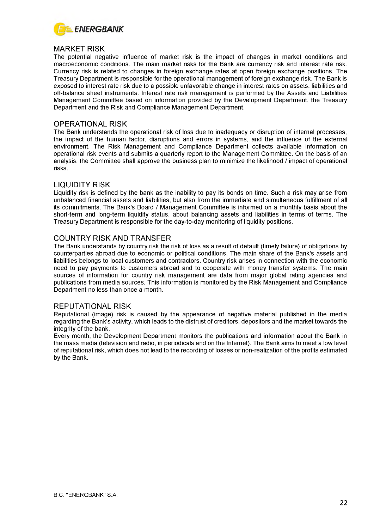

### MARKET RISK

The potential negative influence of market risk is the impact of changes in market conditions and macroeconomic conditions. The main market risks for the Bank are currency risk and interest rate risk. Currency risk is related to changes in foreign exchange rates at open foreign exchange positions. The Treasury Department is responsible for the operational management of foreign exchange risk. The Bank is exposed to interest rate risk due to a possible unfavorable change in interest rates on assets, liabilities and off-balance sheet instruments. Interest rate risk management is performed by the Assets and Liabilities Management Committee based on information provided by the Development Department, the Treasury Department and the Risk and Compliance Management Department.

### OPERATIONAL RISK

The Bank understands the operational risk of loss due to inadequacy or disruption of internal processes, the impact of the human factor, disruptions and errors in systems, and the influence of the external environment. The Risk Management and Compliance Department collects available information on operational risk events and submits a quarterly report to the Management Committee. On the basis of an analysis, the Committee shall approve the business plan to minimize the likelihood / impact of operational risks.

### LIQUIDITY RISK

Liquidity risk is defined by the bank as the inability to pay its bonds on time. Such a risk may arise from unbalanced financial assets and liabilities, but also from the immediate and simultaneous fulfillment of all its commitments. The Bank's Board / Management Committee is informed on a monthly basis about the short-term and long-term liquidity status, about balancing assets and liabilities in terms of terms. The Treasury Department is responsible for the day-to-day monitoring of liquidity positions.

### COUNTRY RISK AND TRANSFER

The Bank understands by country risk the risk of loss as a result of default (timely failure) of obligations by counterparties abroad due to economic or political conditions. The main share of the Bank's assets and liabilities belongs to local customers and contractors. Country risk arises in connection with the economic need to pay payments to customers abroad and to cooperate with money transfer systems. The main sources of information for country risk management are data from major global rating agencies and publications from media sources. This information is monitored by the Risk Management and Compliance Department no less than once a month.

### REPUTATIONAL RISK

Reputational (image) risk is caused by the appearance of negative material published in the media regarding the Bank's activity, which leads to the distrust of creditors, depositors and the market towards the integrity of the bank.

Every month, the Development Department monitors the publications and information about the Bank in the mass media (television and radio, in periodicals and on the Internet). The Bank aims to meet a low level of reputational risk, which does not lead to the recording of losses or non-realization of the profits estimated by the Bank.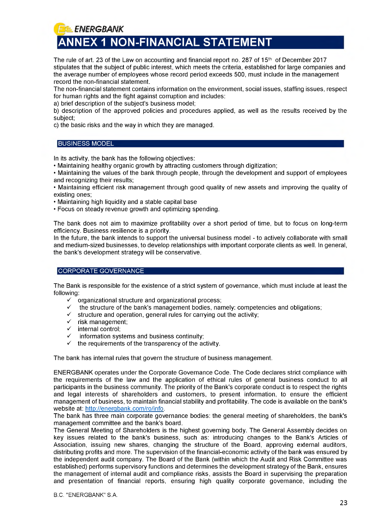<span id="page-23-0"></span>**f** *ENERGBANK* **ANNEX 1 NON-FINANCIAL STATEMENT**

The rule of art. 23 of the Law on accounting and financial report no. 287 of 15<sup>th</sup> of December 2017 stipulates that the subject of public interest, which meets the criteria, established for large companies and the average number of employees whose record period exceeds 500, must include in the management record the non-financial statement.

The non-financial statement contains information on the environment, social issues, staffing issues, respect for human rights and the fight against corruption and includes:

a) brief description of the subject's business model;

b) description of the approved policies and procedures applied, as well as the results received by the subject;

c) the basic risks and the way in which they are managed.

### BUSINESS MODEL

In its activity, the bank has the following objectives:

• Maintaining healthy organic growth by attracting customers through digitization;

• Maintaining the values of the bank through people, through the development and support of employees and recognizing their results;

• Maintaining efficient risk management through good quality of new assets and improving the quality of existing ones;

• Maintaining high liquidity and a stable capital base

• Focus on steady revenue growth and optimizing spending.

The bank does not aim to maximize profitability over a short period of time, but to focus on long-term efficiency. Business resilience is a priority.

In the future, the bank intends to support the universal business model - to actively collaborate with small and medium-sized businesses, to develop relationships with important corporate clients as well. In general, the bank's development strategy will be conservative.

### CORPORATE GOVERNANCE

The Bank is responsible for the existence of a strict system of governance, which must include at least the following:

- organizational structure and organizational process:
- $\checkmark$  the structure of the bank's management bodies, namely: competencies and obligations:
- $\checkmark$  structure and operation, general rules for carrying out the activity;
- $\checkmark$  risk management;
- $\checkmark$  internal control;<br> $\checkmark$  information sys
- information systems and business continuity;
- $\checkmark$  the requirements of the transparency of the activity.

The bank has internal rules that govern the structure of business management.

ENERGBANK operates under the Corporate Governance Code. The Code declares strict compliance with the requirements of the law and the application of ethical rules of general business conduct to all participants in the business community. The priority of the Bank's corporate conduct is to respect the rights and legal interests of shareholders and customers, to present information, to ensure the efficient management of business, to maintain financial stability and profitability. The code is available on the bank's website at[: http://energbank.com/ro/info.](http://energbank.com/ro/info)

The bank has three main corporate governance bodies: the general meeting of shareholders, the bank's management committee and the bank's board.

The General Meeting of Shareholders is the highest governing body. The General Assembly decides on key issues related to the bank's business, such as: introducing changes to the Bank's Articles of Association, issuing new shares, changing the structure of the Board, approving external auditors, distributing profits and more. The supervision of the financial-economic activity of the bank was ensured by the independent audit company. The Board of the Bank (within which the Audit and Risk Committee was established) performs supervisory functions and determines the development strategy of the Bank, ensures the management of internal audit and compliance risks, assists the Board in supervising the preparation and presentation of financial reports, ensuring high quality corporate governance, including the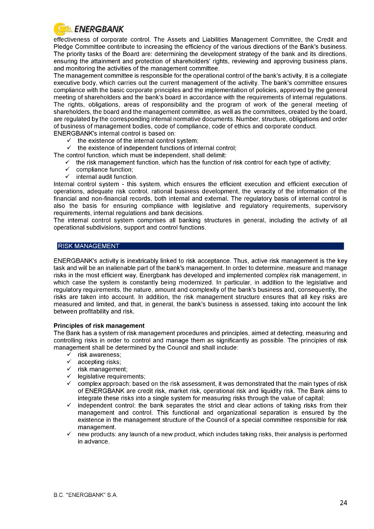

effectiveness of corporate control. The Assets and Liabilities Management Committee, the Credit and Pledge Committee contribute to increasing the efficiency of the various directions of the Bank's business. The priority tasks of the Board are: determining the development strategy of the bank and its directions, ensuring the attainment and protection of shareholders' rights, reviewing and approving business plans, and monitoring the activities of the management committee.

The management committee is responsible for the operational control of the bank's activity, it is a collegiate executive body, which carries out the current management of the activity. The bank's committee ensures compliance with the basic corporate principles and the implementation of policies, approved by the general meeting of shareholders and the bank's board in accordance with the requirements of internal regulations. The rights, obligations, areas of responsibility and the program of work of the general meeting of shareholders, the board and the management committee, as well as the committees, created by the board, are regulated by the corresponding internal normative documents. Number, structure, obligations and order of business of management bodies, code of compliance, code of ethics and corporate conduct.

ENERGBANK's internal control is based on:

- $\checkmark$  the existence of the internal control system;<br> $\checkmark$  the existence of independent functions of interiors
- the existence of independent functions of internal control;

The control function, which must be independent, shall delimit:

- $\checkmark$  the risk management function, which has the function of risk control for each type of activity;<br> $\checkmark$  compliance function:
- compliance function:
- $\checkmark$  internal audit function.

Internal control system - this system, which ensures the efficient execution and efficient execution of operations, adequate risk control, rational business development, the veracity of the information of the financial and non-financial records, both internal and external. The regulatory basis of internal control is also the basis for ensuring compliance with legislative and regulatory requirements, supervisory requirements, internal regulations and bank decisions.

The internal control system comprises all banking structures in general, including the activity of all operational subdivisions, support and control functions.

### RISK MANAGEMENT

ENERGBANK's activity is inextricably linked to risk acceptance. Thus, active risk management is the key task and will be an inalienable part of the bank's management. In order to determine, measure and manage risks in the most efficient way, Energbank has developed and implemented complex risk management, in which case the system is constantly being modernized. In particular, in addition to the legislative and regulatory requirements, the nature, amount and complexity of the bank's business and, consequently, the risks are taken into account. In addition, the risk management structure ensures that all key risks are measured and limited, and that, in general, the bank's business is assessed, taking into account the link between profitability and risk.

### **Principles of risk management**

The Bank has a system of risk management procedures and principles, aimed at detecting, measuring and controlling risks in order to control and manage them as significantly as possible. The principles of risk management shall be determined by the Council and shall include:

- $\overline{\smash{\bigtriangledown}}$  risk awareness;<br> $\overline{\smash{\bigtriangledown}}$  accepting risks:
- accepting risks:
- $\checkmark$  risk management:
- $\checkmark$  legislative requirements;
- $\checkmark$  complex approach: based on the risk assessment, it was demonstrated that the main types of risk of ENERGBANK are credit risk, market risk, operational risk and liquidity risk. The Bank aims to integrate these risks into a single system for measuring risks through the value of capital;
- $\checkmark$  independent control: the bank separates the strict and clear actions of taking risks from their management and control. This functional and organizational separation is ensured by the existence in the management structure of the Council of a special committee responsible for risk management.
- new products: any launch of a new product, which includes taking risks, their analysis is performed in advance.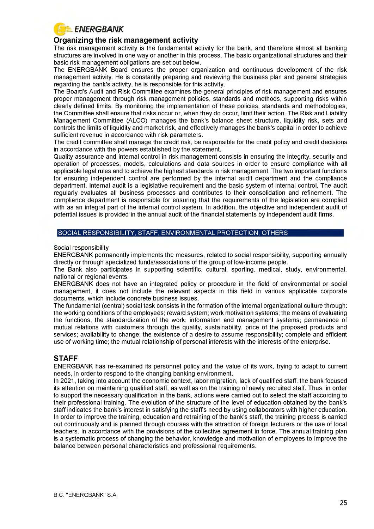

### **Organizing the risk management activity**

The risk management activity is the fundamental activity for the bank, and therefore almost all banking structures are involved in one way or another in this process. The basic organizational structures and their basic risk management obligations are set out below.

The ENERGBANK Board ensures the proper organization and continuous development of the risk management activity. He is constantly preparing and reviewing the business plan and general strategies regarding the bank's activity, he is responsible for this activity.

The Board's Audit and Risk Committee examines the general principles of risk management and ensures proper management through risk management policies, standards and methods, supporting risks within clearly defined limits. By monitoring the implementation of these policies, standards and methodologies, the Committee shall ensure that risks occur or, when they do occur, limit their action. The Risk and Liability Management Committee (ALCO) manages the bank's balance sheet structure, liquidity risk, sets and controls the limits of liquidity and market risk, and effectively manages the bank's capital in order to achieve sufficient revenue in accordance with risk parameters.

The credit committee shall manage the credit risk, be responsible for the credit policy and credit decisions in accordance with the powers established by the statement.

Quality assurance and internal control in risk management consists in ensuring the integrity, security and operation of processes, models, calculations and data sources in order to ensure compliance with all applicable legal rules and to achieve the highest standards in risk management. The two important functions for ensuring independent control are performed by the internal audit department and the compliance department. Internal audit is a legislative requirement and the basic system of internal control. The audit regularly evaluates all business processes and contributes to their consolidation and refinement. The compliance department is responsible for ensuring that the requirements of the legislation are complied with as an integral part of the internal control system. In addition, the objective and independent audit of potential issues is provided in the annual audit of the financial statements by independent audit firms.

### SOCIAL RESPONSIBILITY, STAFF, ENVIRONMENTAL PROTECTION, OTHERS

Social responsibility

ENERGBANK permanently implements the measures, related to social responsibility, supporting annually directly or through specialized funds/associations of the group of low-income people.

The Bank also participates in supporting scientific, cultural, sporting, medical, study, environmental, national or regional events.

ENERGBANK does not have an integrated policy or procedure in the field of environmental or social management, it does not include the relevant aspects in this field in various applicable corporate documents, which include concrete business issues.

The fundamental (central) social task consists in the formation of the internal organizational culture through: the working conditions of the employees; reward system; work motivation systems; the means of evaluating the functions, the standardization of the work; information and management systems; permanence of mutual relations with customers through the quality, sustainability, price of the proposed products and services; availability to change; the existence of a desire to assume responsibility; complete and efficient use of working time; the mutual relationship of personal interests with the interests of the enterprise.

### **STAFF**

ENERGBANK has re-examined its personnel policy and the value of its work, trying to adapt to current needs, in order to respond to the changing banking environment.

In 2021, taking into account the economic context, labor migration, lack of qualified staff, the bank focused its attention on maintaining qualified staff, as well as on the training of newly recruited staff. Thus, in order to support the necessary qualification in the bank, actions were carried out to select the staff according to their professional training. The evolution of the structure of the level of education obtained by the bank's staff indicates the bank's interest in satisfying the staff's need by using collaborators with higher education. In order to improve the training, education and retraining of the bank's staff, the training process is carried out continuously and is planned through courses with the attraction of foreign lecturers or the use of local teachers. in accordance with the provisions of the collective agreement in force. The annual training plan is a systematic process of changing the behavior, knowledge and motivation of employees to improve the balance between personal characteristics and professional requirements.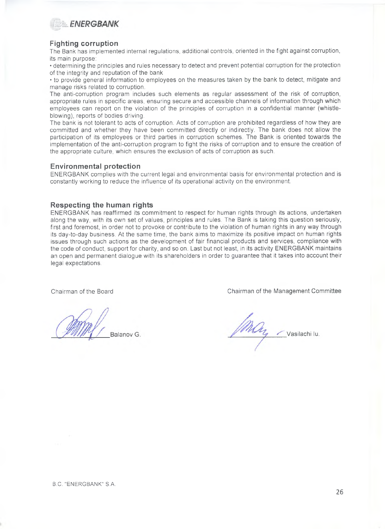

### **Fighting corruption**

The Bank has implemented internal regulations, additional controls, oriented in the fight against corruption, its main purpose:

• determining the principles and rules necessary to detect and prevent potential corruption for the protection of the integrity and reputation of the bank

• to provide general information to employees on the measures taken by the bank to detect, mitigate and manage risks related to corruption.

The anti-corruption program includes such elements as regular assessment of the risk of corruption, appropriate rules in specific areas, ensuring secure and accessible channels of information through which employees can report on the violation of the principles of corruption in a confidential manner (whistleblowing), reports of bodies driving.

The bank is not tolerant to acts of corruption. Acts of corruption are prohibited regardless of how they are committed and whether they have been committed directly or indirectly. The bank does not allow the participation of its employees or third parties in corruption schemes. The Bank is oriented towards the implementation of the anti-corruption program to fight the risks of corruption and to ensure the creation of the appropriate culture, which ensures the exclusion of acts of corruption as such.

### **Environmental protection**

ENERGBANK complies with the current legal and environmental basis for environmental protection and is constantly working to reduce the influence of its operational activity on the environment.

### **Respecting the human rights**

ENERGBANK has reaffirmed its commitment to respect for human rights through its actions, undertaken along the way, with its own set of values, principles and rules. The Bank is taking this question seriously, first and foremost, in order not to provoke or contribute to the violation of human rights in any way through its day-to-day business. At the same time, the bank aims to maximize its positive impact on human rights issues through such actions as the development of fair financial products and services, compliance with the code of conduct, support for charity, and so on. Last but not least, in its activity ENERGBANK maintains an open and permanent dialogue with its shareholders in order to guarantee that it takes into account their legal expectations.

Balanov G.

Chairman of the Board Chairman of the Management Committee

may Vasilachi lu.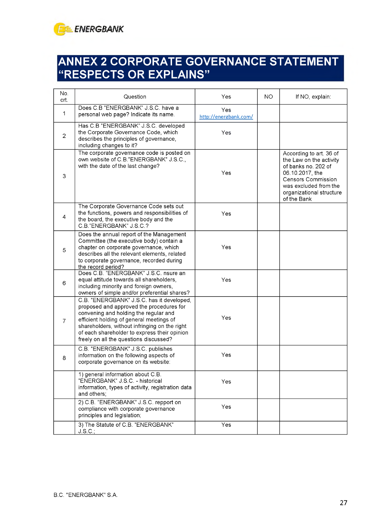

### <span id="page-27-0"></span>**ANNEX 2 CORPORATE GOVERNANCE STATEMENT "RESPECTS OR EXPLAINS"**

| No.<br>crt.    | Question                                                                                                                                                                                                                                                                                                              | Yes                          | <b>NO</b> | If NO, explain:                                                                                                                                                                               |
|----------------|-----------------------------------------------------------------------------------------------------------------------------------------------------------------------------------------------------------------------------------------------------------------------------------------------------------------------|------------------------------|-----------|-----------------------------------------------------------------------------------------------------------------------------------------------------------------------------------------------|
| 1              | Does C.B "ENERGBANK" J.S.C. have a<br>personal web page? Indicate its name.                                                                                                                                                                                                                                           | Yes<br>http://energbank.com/ |           |                                                                                                                                                                                               |
| $\overline{2}$ | Has C.B "ENERGBANK" J.S.C. developed<br>the Corporate Governance Code, which<br>describes the principles of governance,<br>including changes to it?                                                                                                                                                                   | Yes                          |           |                                                                                                                                                                                               |
| 3              | The corporate governance code is posted on<br>own website of C.B."ENERGBANK" J.S.C.,<br>with the date of the last change?                                                                                                                                                                                             | Yes                          |           | According to art. 36 of<br>the Law on the activity<br>of banks no. 202 of<br>06.10.2017, the<br><b>Censors Commission</b><br>was excluded from the<br>organizational structure<br>of the Bank |
| 4              | The Corporate Governance Code sets out<br>the functions, powers and responsibilities of<br>the board, the executive body and the<br>C.B."ENERGBANK" J.S.C.?                                                                                                                                                           | Yes                          |           |                                                                                                                                                                                               |
| 5              | Does the annual report of the Management<br>Committee (the executive body) contain a<br>chapter on corporate governance, which<br>describes all the relevant elements, related<br>to corporate governance, recorded during<br>the record period?                                                                      | Yes                          |           |                                                                                                                                                                                               |
| 6              | Does C.B. "ENERGBANK" J.S.C. nsure an<br>equal attitude towards all shareholders,<br>including minority and foreign owners,<br>owners of simple and/or preferential shares?                                                                                                                                           | Yes                          |           |                                                                                                                                                                                               |
| 7              | C.B. "ENERGBANK" J.S.C. has it developed,<br>proposed and approved the procedures for<br>convening and holding the regular and<br>efficient holding of general meetings of<br>shareholders, without infringing on the right<br>of each shareholder to express their opinion<br>freely on all the questions discussed? | Yes                          |           |                                                                                                                                                                                               |
| 8              | C.B. "ENERGBANK" J.S.C. publishes<br>information on the following aspects of<br>corporate governance on its website:                                                                                                                                                                                                  | Yes                          |           |                                                                                                                                                                                               |
|                | 1) general information about C.B.<br>"ENERGBANK" J.S.C. - historical<br>information, types of activity, registration data<br>and others;                                                                                                                                                                              | Yes                          |           |                                                                                                                                                                                               |
|                | 2) C.B. "ENERGBANK" J.S.C. repport on<br>compliance with corporate governance<br>principles and legislation;                                                                                                                                                                                                          | Yes                          |           |                                                                                                                                                                                               |
|                | 3) The Statute of C.B. "ENERGBANK"<br>$J.S.C$ ;                                                                                                                                                                                                                                                                       | Yes                          |           |                                                                                                                                                                                               |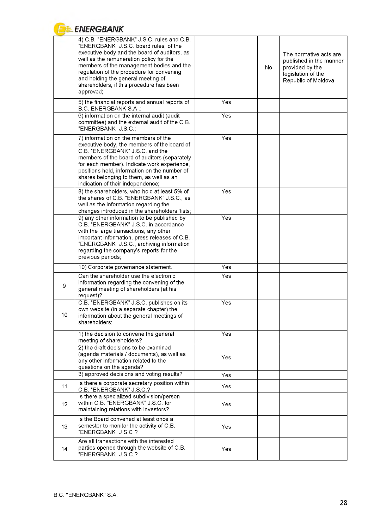

### **E** ENERGBANK

|    | 4) C.B. "ENERGBANK" J.S.C. rules and C.B.<br>"ENERGBANK" J.S.C. board rules, of the<br>executive body and the board of auditors, as<br>well as the remuneration policy for the<br>members of the management bodies and the<br>regulation of the procedure for convening<br>and holding the general meeting of<br>shareholders, if this procedure has been<br>approved; |     | No. | The normative acts are<br>published in the manner<br>provided by the<br>legislation of the<br>Republic of Moldova |
|----|------------------------------------------------------------------------------------------------------------------------------------------------------------------------------------------------------------------------------------------------------------------------------------------------------------------------------------------------------------------------|-----|-----|-------------------------------------------------------------------------------------------------------------------|
|    | 5) the financial reports and annual reports of<br>B.C. ENERGBANK S.A.;                                                                                                                                                                                                                                                                                                 | Yes |     |                                                                                                                   |
|    | 6) information on the internal audit (audit<br>committee) and the external audit of the C.B.<br>"ENERGBANK" J.S.C.;                                                                                                                                                                                                                                                    | Yes |     |                                                                                                                   |
|    | 7) information on the members of the<br>executive body, the members of the board of<br>C.B. "ENERGBANK" J.S.C. and the<br>members of the board of auditors (separately<br>for each member). Indicate work experience,<br>positions held, information on the number of<br>shares belonging to them, as well as an<br>indication of their independence;                  | Yes |     |                                                                                                                   |
|    | 8) the shareholders, who hold at least 5% of<br>the shares of C.B. "ENERGBANK" J.S.C., as<br>well as the information regarding the<br>changes introduced in the shareholders 'lists;                                                                                                                                                                                   | Yes |     |                                                                                                                   |
|    | 9) any other information to be published by<br>C.B. "ENERGBANK" J.S.C. in accordance<br>with the large transactions, any other<br>important information, press releases of C.B.<br>"ENERGBANK" J.S.C., archiving information<br>regarding the company's reports for the<br>previous periods;                                                                           | Yes |     |                                                                                                                   |
|    | 10) Corporate governance statement.                                                                                                                                                                                                                                                                                                                                    | Yes |     |                                                                                                                   |
| 9  | Can the shareholder use the electronic<br>information regarding the convening of the<br>general meeting of shareholders (at his<br>request)?                                                                                                                                                                                                                           | Yes |     |                                                                                                                   |
| 10 | C.B. "ENERGBANK" J.S.C. publishes on its<br>own website (in a separate chapter) the<br>information about the general meetings of<br>shareholders:                                                                                                                                                                                                                      | Yes |     |                                                                                                                   |
|    | 1) the decision to convene the general<br>meeting of shareholders?                                                                                                                                                                                                                                                                                                     | Yes |     |                                                                                                                   |
|    | 2) the draft decisions to be examined<br>(agenda materials / documents), as well as<br>any other information related to the<br>questions on the agenda?                                                                                                                                                                                                                | Yes |     |                                                                                                                   |
|    | 3) approved decisions and voting results?                                                                                                                                                                                                                                                                                                                              | Yes |     |                                                                                                                   |
| 11 | Is there a corporate secretary position within<br>C.B. "ENERGBANK" J.S.C.?                                                                                                                                                                                                                                                                                             | Yes |     |                                                                                                                   |
| 12 | Is there a specialized subdivision/person<br>within C.B. "ENERGBANK" J.S.C. for<br>maintaining relations with investors?                                                                                                                                                                                                                                               | Yes |     |                                                                                                                   |
| 13 | Is the Board convened at least once a<br>semester to monitor the activity of C.B.<br>"ENERGBANK" J S.C.?                                                                                                                                                                                                                                                               | Yes |     |                                                                                                                   |
| 14 | Are all transactions with the interested<br>parties opened through the website of C.B.<br>"ENERGBANK" J.S.C.?                                                                                                                                                                                                                                                          | Yes |     |                                                                                                                   |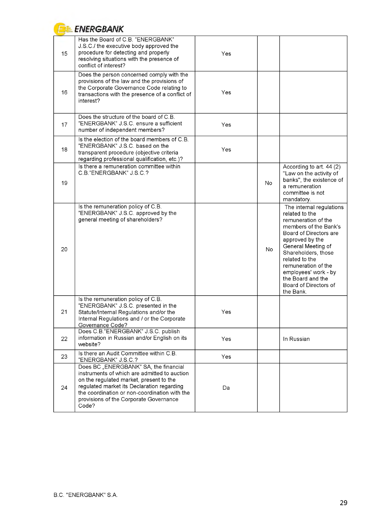|    | <b>ENERGBANK</b>                                                                                                                                                                                                                                                                   |     |     |                                                                                                                                                                                                                                                                                                                  |
|----|------------------------------------------------------------------------------------------------------------------------------------------------------------------------------------------------------------------------------------------------------------------------------------|-----|-----|------------------------------------------------------------------------------------------------------------------------------------------------------------------------------------------------------------------------------------------------------------------------------------------------------------------|
| 15 | Has the Board of C.B. "ENERGBANK"<br>J.S.C./ the executive body approved the<br>procedure for detecting and properly<br>resolving situations with the presence of<br>conflict of interest?                                                                                         | Yes |     |                                                                                                                                                                                                                                                                                                                  |
| 16 | Does the person concerned comply with the<br>provisions of the law and the provisions of<br>the Corporate Governance Code relating to<br>transactions with the presence of a conflict of<br>interest?                                                                              | Yes |     |                                                                                                                                                                                                                                                                                                                  |
| 17 | Does the structure of the board of C.B.<br>"ENERGBANK" J.S.C. ensure a sufficient<br>number of independent members?                                                                                                                                                                | Yes |     |                                                                                                                                                                                                                                                                                                                  |
| 18 | Is the election of the board members of C.B.<br>"ENERGBANK" J.S.C. based on the<br>transparent procedure (objective criteria<br>regarding professional qualification, etc.)?                                                                                                       | Yes |     |                                                                                                                                                                                                                                                                                                                  |
| 19 | Is there a remuneration committee within<br>C.B."ENERGBANK" J.S.C.?                                                                                                                                                                                                                |     | No. | According to art. 44 (2)<br>"Law on the activity of<br>banks", the existence of<br>a remuneration<br>committee is not<br>mandatory.                                                                                                                                                                              |
| 20 | Is the remuneration policy of C.B.<br>"ENERGBANK" J.S.C. approved by the<br>general meeting of shareholders?                                                                                                                                                                       |     | No. | The internal regulations<br>related to the<br>remuneration of the<br>members of the Bank's<br>Board of Directors are<br>approved by the<br>General Meeting of<br>Shareholders, those<br>related to the<br>remuneration of the<br>employees' work - by<br>the Board and the<br>Board of Directors of<br>the Bank. |
| 21 | Is the remuneration policy of C.B.<br>'ENERGBANK" J.S.C. presented in the<br>Statute/Internal Regulations and/or the<br>Internal Regulations and / or the Corporate<br>Governance Code?                                                                                            | Yes |     |                                                                                                                                                                                                                                                                                                                  |
| 22 | Does C.B. ENERGBANK" J.S.C. publish<br>information in Russian and/or English on its<br>website?                                                                                                                                                                                    | Yes |     | In Russian                                                                                                                                                                                                                                                                                                       |
| 23 | Is there an Audit Committee within C.B.<br>"ENERGBANK" J.S.C.?                                                                                                                                                                                                                     | Yes |     |                                                                                                                                                                                                                                                                                                                  |
| 24 | Does BC "ENERGBANK" SA, the financial<br>instruments of which are admitted to auction<br>on the regulated market, present to the<br>regulated market its Declaration regarding<br>the coordination or non-coordination with the<br>provisions of the Corporate Governance<br>Code? | Da  |     |                                                                                                                                                                                                                                                                                                                  |